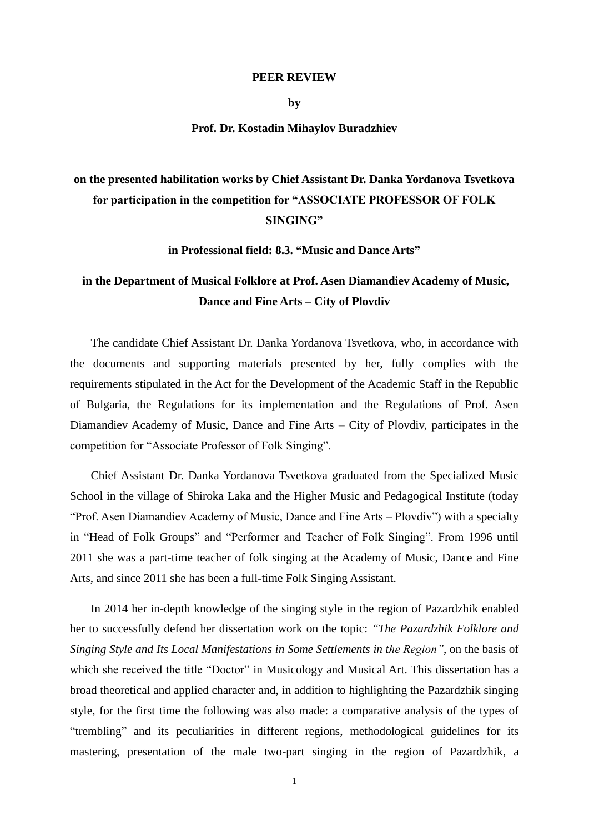## **PEER REVIEW**

**by**

## **Prof. Dr. Kostadin Mihaylov Buradzhiev**

## **on the presented habilitation works by Chief Assistant Dr. Danka Yordanova Tsvetkova for participation in the competition for "ASSOCIATE PROFESSOR OF FOLK SINGING"**

**in Professional field: 8.3. "Music and Dance Arts"**

## **in the Department of Musical Folklore at Prof. Asen Diamandiev Academy of Music, Dance and Fine Arts – City of Plovdiv**

The candidate Chief Assistant Dr. Danka Yordanova Tsvetkova, who, in accordance with the documents and supporting materials presented by her, fully complies with the requirements stipulated in the Act for the Development of the Academic Staff in the Republic of Bulgaria, the Regulations for its implementation and the Regulations of Prof. Asen Diamandiev Academy of Music, Dance and Fine Arts – City of Plovdiv, participates in the competition for "Associate Professor of Folk Singing".

Chief Assistant Dr. Danka Yordanova Tsvetkova graduated from the Specialized Music School in the village of Shiroka Laka and the Higher Music and Pedagogical Institute (today "Prof. Asen Diamandiev Academy of Music, Dance and Fine Arts – Plovdiv") with a specialty in "Head of Folk Groups" and "Performer and Teacher of Folk Singing". From 1996 until 2011 she was a part-time teacher of folk singing at the Academy of Music, Dance and Fine Arts, and since 2011 she has been a full-time Folk Singing Assistant.

In 2014 her in-depth knowledge of the singing style in the region of Pazardzhik enabled her to successfully defend her dissertation work on the topic: *"The Pazardzhik Folklore and Singing Style and Its Local Manifestations in Some Settlements in the Region"*, on the basis of which she received the title "Doctor" in Musicology and Musical Art. This dissertation has a broad theoretical and applied character and, in addition to highlighting the Pazardzhik singing style, for the first time the following was also made: a comparative analysis of the types of "trembling" and its peculiarities in different regions, methodological guidelines for its mastering, presentation of the male two-part singing in the region of Pazardzhik, a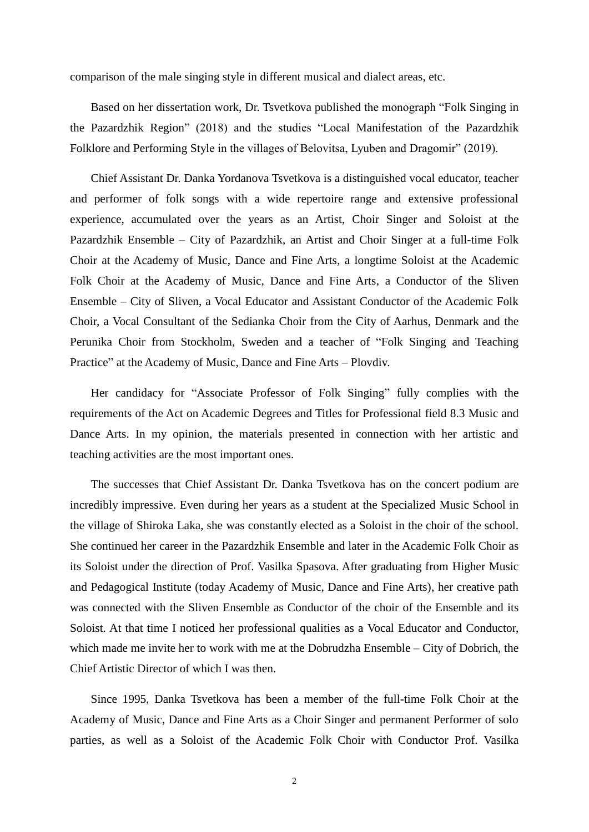comparison of the male singing style in different musical and dialect areas, etc.

Based on her dissertation work, Dr. Tsvetkova published the monograph "Folk Singing in the Pazardzhik Region" (2018) and the studies "Local Manifestation of the Pazardzhik Folklore and Performing Style in the villages of Belovitsa, Lyuben and Dragomir" (2019).

Chief Assistant Dr. Danka Yordanova Tsvetkova is a distinguished vocal educator, teacher and performer of folk songs with a wide repertoire range and extensive professional experience, accumulated over the years as an Artist, Choir Singer and Soloist at the Pazardzhik Ensemble – City of Pazardzhik, an Artist and Choir Singer at a full-time Folk Choir at the Academy of Music, Dance and Fine Arts, a longtime Soloist at the Academic Folk Choir at the Academy of Music, Dance and Fine Arts, a Conductor of the Sliven Ensemble – City of Sliven, a Vocal Educator and Assistant Conductor of the Academic Folk Choir, a Vocal Consultant of the Sedianka Choir from the City of Aarhus, Denmark and the Perunika Choir from Stockholm, Sweden and a teacher of "Folk Singing and Teaching Practice" at the Academy of Music, Dance and Fine Arts – Plovdiv.

Her candidacy for "Associate Professor of Folk Singing" fully complies with the requirements of the Act on Academic Degrees and Titles for Professional field 8.3 Music and Dance Arts. In my opinion, the materials presented in connection with her artistic and teaching activities are the most important ones.

The successes that Chief Assistant Dr. Danka Tsvetkova has on the concert podium are incredibly impressive. Even during her years as a student at the Specialized Music School in the village of Shiroka Laka, she was constantly elected as a Soloist in the choir of the school. She continued her career in the Pazardzhik Ensemble and later in the Academic Folk Choir as its Soloist under the direction of Prof. Vasilka Spasova. After graduating from Higher Music and Pedagogical Institute (today Academy of Music, Dance and Fine Arts), her creative path was connected with the Sliven Ensemble as Conductor of the choir of the Ensemble and its Soloist. At that time I noticed her professional qualities as a Vocal Educator and Conductor, which made me invite her to work with me at the Dobrudzha Ensemble – City of Dobrich, the Chief Artistic Director of which I was then.

Since 1995, Danka Tsvetkova has been a member of the full-time Folk Choir at the Academy of Music, Dance and Fine Arts as a Choir Singer and permanent Performer of solo parties, as well as a Soloist of the Academic Folk Choir with Conductor Prof. Vasilka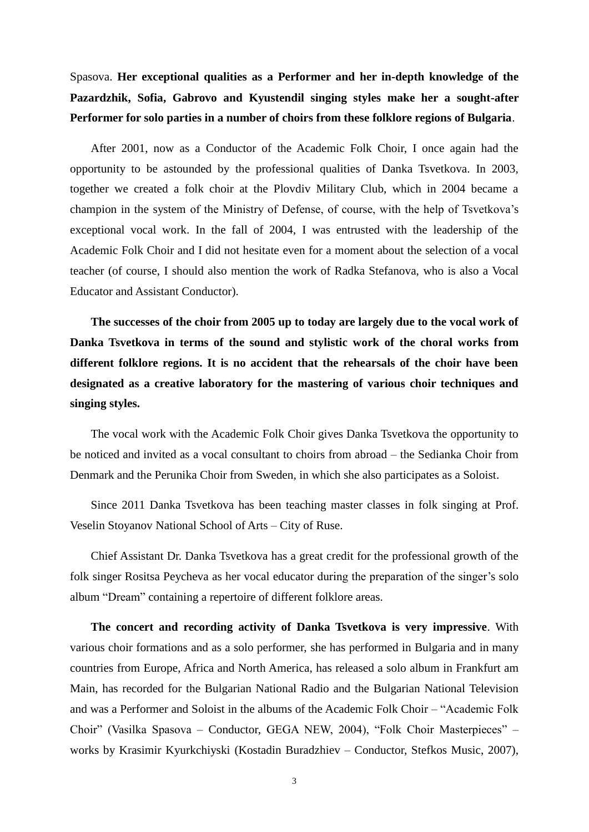Spasova. **Her exceptional qualities as a Performer and her in-depth knowledge of the Pazardzhik, Sofia, Gabrovo and Kyustendil singing styles make her a sought-after Performer for solo parties in a number of choirs from these folklore regions of Bulgaria**.

After 2001, now as a Conductor of the Academic Folk Choir, I once again had the opportunity to be astounded by the professional qualities of Danka Tsvetkova. In 2003, together we created a folk choir at the Plovdiv Military Club, which in 2004 became a champion in the system of the Ministry of Defense, of course, with the help of Tsvetkova's exceptional vocal work. In the fall of 2004, I was entrusted with the leadership of the Academic Folk Choir and I did not hesitate even for a moment about the selection of a vocal teacher (of course, I should also mention the work of Radka Stefanova, who is also a Vocal Educator and Assistant Conductor).

**The successes of the choir from 2005 up to today are largely due to the vocal work of Danka Tsvetkova in terms of the sound and stylistic work of the choral works from different folklore regions. It is no accident that the rehearsals of the choir have been designated as a creative laboratory for the mastering of various choir techniques and singing styles.**

The vocal work with the Academic Folk Choir gives Danka Tsvetkova the opportunity to be noticed and invited as a vocal consultant to choirs from abroad – the Sedianka Choir from Denmark and the Perunika Choir from Sweden, in which she also participates as a Soloist.

Since 2011 Danka Tsvetkova has been teaching master classes in folk singing at Prof. Veselin Stoyanov National School of Arts – City of Ruse.

Chief Assistant Dr. Danka Tsvetkova has a great credit for the professional growth of the folk singer Rositsa Peycheva as her vocal educator during the preparation of the singer's solo album "Dream" containing a repertoire of different folklore areas.

**The concert and recording activity of Danka Tsvetkova is very impressive**. With various choir formations and as a solo performer, she has performed in Bulgaria and in many countries from Europe, Africa and North America, has released a solo album in Frankfurt am Main, has recorded for the Bulgarian National Radio and the Bulgarian National Television and was a Performer and Soloist in the albums of the Academic Folk Choir – "Academic Folk Choir" (Vasilka Spasova – Conductor, GEGA NEW, 2004), "Folk Choir Masterpieces" – works by Krasimir Kyurkchiyski (Kostadin Buradzhiev – Conductor, Stefkos Music, 2007),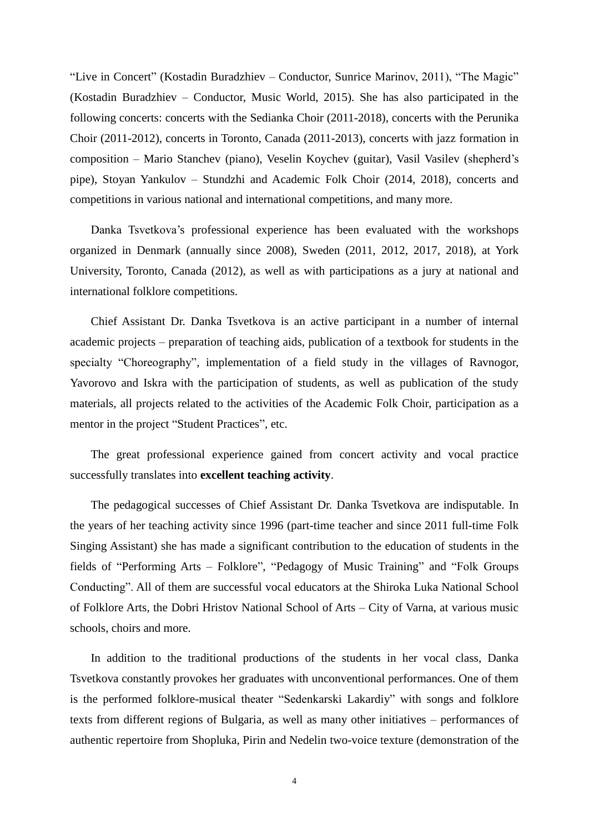"Live in Concert" (Kostadin Buradzhiev – Conductor, Sunrice Marinov, 2011), "The Magic" (Kostadin Buradzhiev – Conductor, Music World, 2015). She has also participated in the following concerts: concerts with the Sedianka Choir (2011-2018), concerts with the Perunika Choir (2011-2012), concerts in Toronto, Canada (2011-2013), concerts with jazz formation in composition – Mario Stanchev (piano), Veselin Koychev (guitar), Vasil Vasilev (shepherd's pipe), Stoyan Yankulov – Stundzhi and Academic Folk Choir (2014, 2018), concerts and competitions in various national and international competitions, and many more.

Danka Tsvetkova's professional experience has been evaluated with the workshops organized in Denmark (annually since 2008), Sweden (2011, 2012, 2017, 2018), at York University, Toronto, Canada (2012), as well as with participations as a jury at national and international folklore competitions.

Chief Assistant Dr. Danka Tsvetkova is an active participant in a number of internal academic projects – preparation of teaching aids, publication of a textbook for students in the specialty "Choreography", implementation of a field study in the villages of Ravnogor, Yavorovo and Iskra with the participation of students, as well as publication of the study materials, all projects related to the activities of the Academic Folk Choir, participation as a mentor in the project "Student Practices", etc.

The great professional experience gained from concert activity and vocal practice successfully translates into **excellent teaching activity**.

The pedagogical successes of Chief Assistant Dr. Danka Tsvetkova are indisputable. In the years of her teaching activity since 1996 (part-time teacher and since 2011 full-time Folk Singing Assistant) she has made a significant contribution to the education of students in the fields of "Performing Arts – Folklore", "Pedagogy of Music Training" and "Folk Groups Conducting". All of them are successful vocal educators at the Shiroka Luka National School of Folklore Arts, the Dobri Hristov National School of Arts – City of Varna, at various music schools, choirs and more.

In addition to the traditional productions of the students in her vocal class, Danka Tsvetkova constantly provokes her graduates with unconventional performances. One of them is the performed folklore-musical theater "Sedenkarski Lakardiy" with songs and folklore texts from different regions of Bulgaria, as well as many other initiatives – performances of authentic repertoire from Shopluka, Pirin and Nedelin two-voice texture (demonstration of the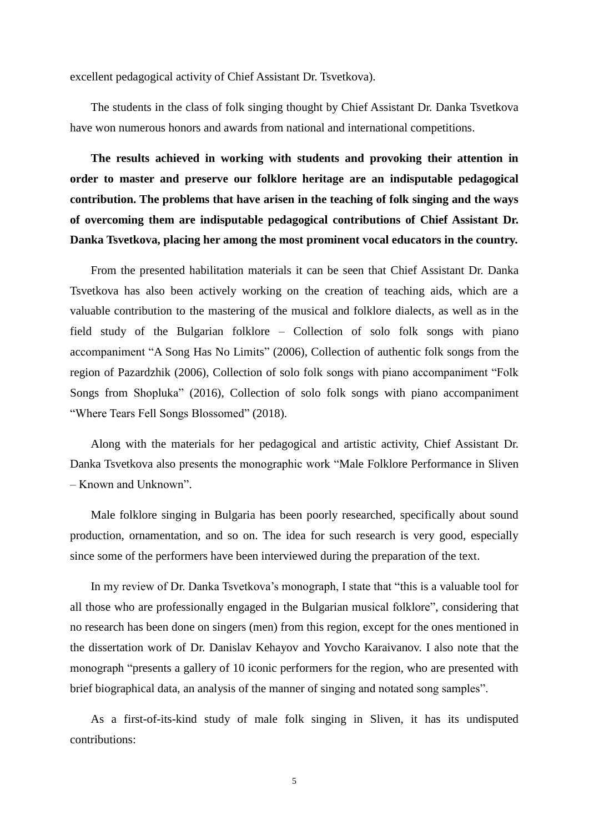excellent pedagogical activity of Chief Assistant Dr. Tsvetkova).

The students in the class of folk singing thought by Chief Assistant Dr. Danka Tsvetkova have won numerous honors and awards from national and international competitions.

**The results achieved in working with students and provoking their attention in order to master and preserve our folklore heritage are an indisputable pedagogical contribution. The problems that have arisen in the teaching of folk singing and the ways of overcoming them are indisputable pedagogical contributions of Chief Assistant Dr. Danka Tsvetkova, placing her among the most prominent vocal educators in the country.**

From the presented habilitation materials it can be seen that Chief Assistant Dr. Danka Tsvetkova has also been actively working on the creation of teaching aids, which are a valuable contribution to the mastering of the musical and folklore dialects, as well as in the field study of the Bulgarian folklore – Collection of solo folk songs with piano accompaniment "A Song Has No Limits" (2006), Collection of authentic folk songs from the region of Pazardzhik (2006), Collection of solo folk songs with piano accompaniment "Folk Songs from Shopluka" (2016), Collection of solo folk songs with piano accompaniment "Where Tears Fell Songs Blossomed" (2018).

Along with the materials for her pedagogical and artistic activity, Chief Assistant Dr. Danka Tsvetkova also presents the monographic work "Male Folklore Performance in Sliven – Known and Unknown".

Male folklore singing in Bulgaria has been poorly researched, specifically about sound production, ornamentation, and so on. The idea for such research is very good, especially since some of the performers have been interviewed during the preparation of the text.

In my review of Dr. Danka Tsvetkova's monograph, I state that "this is a valuable tool for all those who are professionally engaged in the Bulgarian musical folklore", considering that no research has been done on singers (men) from this region, except for the ones mentioned in the dissertation work of Dr. Danislav Kehayov and Yovcho Karaivanov. I also note that the monograph "presents a gallery of 10 iconic performers for the region, who are presented with brief biographical data, an analysis of the manner of singing and notated song samples".

As a first-of-its-kind study of male folk singing in Sliven, it has its undisputed contributions: